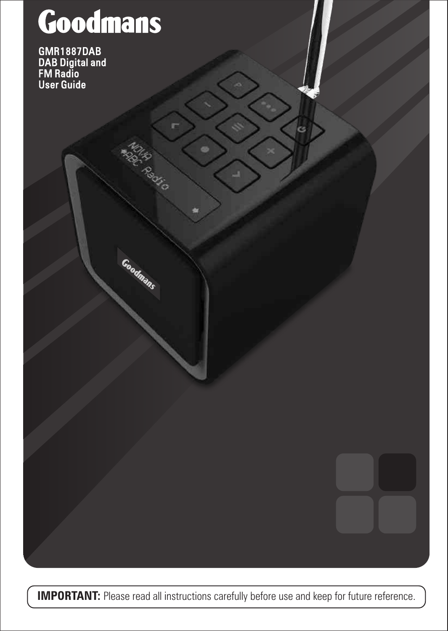# **Goodmans**

**Goodmans** 

GMR1887DAB DAB Digital and FM Radio User Guide

**IMPORTANT:** Please read all instructions carefully before use and keep for future reference.

L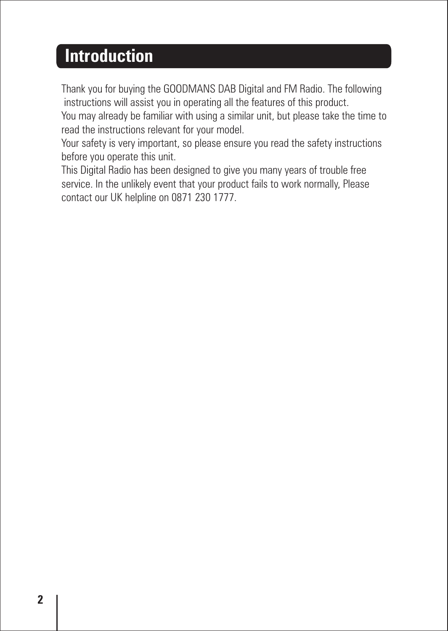### **Introduction**

Thank you for buying the GOODMANS DAB Digital and FM Radio. The following instructions will assist you in operating all the features of this product.

You may already be familiar with using a similar unit, but please take the time to read the instructions relevant for your model.

Your safety is very important, so please ensure you read the safety instructions before you operate this unit.

This Digital Radio has been designed to give you many years of trouble free service. In the unlikely event that your product fails to work normally, Please contact our UK helpline on 0871 230 1777.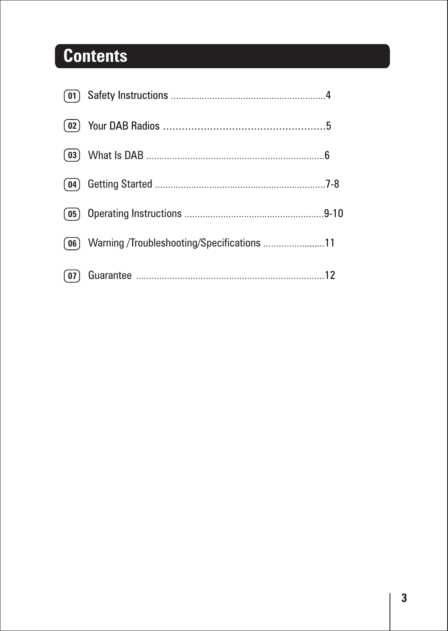### **Contents**

| (02) |                                            |  |
|------|--------------------------------------------|--|
|      |                                            |  |
| (04) |                                            |  |
|      |                                            |  |
| (06) | Warning /Troubleshooting/Specifications 11 |  |
|      |                                            |  |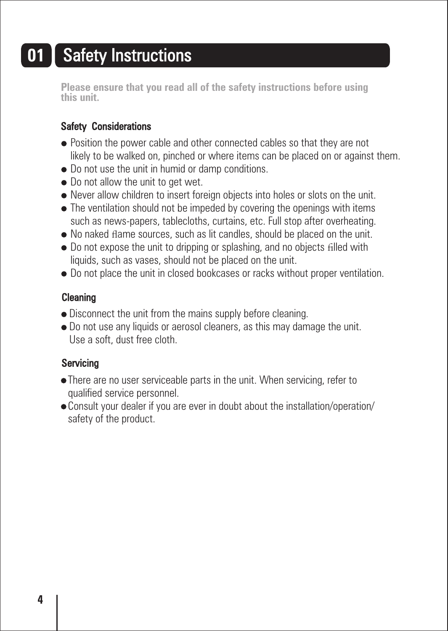### **01** Safety Instructions

**Please ensure that you read all of the safety instructions before using this unit.**

#### Safety Considerations

- Position the power cable and other connected cables so that they are not likely to be walked on, pinched or where items can be placed on or against them.
- $\bullet$  Do not use the unit in humid or damp conditions.
- $\bullet$  Do not allow the unit to get wet.
- Never allow children to insert foreign objects into holes or slots on the unit.
- The ventilation should not be impeded by covering the openings with items such as news-papers, tablecloths, curtains, etc. Full stop after overheating.
- No naked flame sources, such as lit candles, should be placed on the unit.
- Do not expose the unit to dripping or splashing, and no objects filled with liquids, such as vases, should not be placed on the unit.
- $\bullet$  Do not place the unit in closed bookcases or racks without proper ventilation.

#### Cleaning

- Disconnect the unit from the mains supply before cleaning.
- Do not use any liquids or aerosol cleaners, as this may damage the unit. Use a soft, dust free cloth.

#### Servicing

- There are no user serviceable parts in the unit. When servicing, refer to qualified service personnel.
- Consult your dealer if you are ever in doubt about the installation/operation/ safety of the product.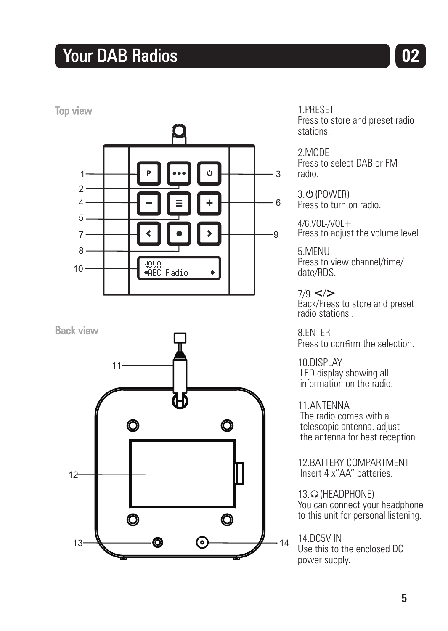### **The Vour DAB Radios CO2**

Top view



Back view



1.PRESET Press to store and preset radio stations.

2.MODE Press to select DAB or FM radio.

3. **(POWER)** Press to turn on radio.

 $A/R$  VOL- $N$ OL $+$ Press to adjust the volume level.

5.MENU Press to view channel/time/ date/RDS.

7/9. </> Back/Press to store and preset radio stations .

8.ENTER Press to confirm the selection.

10.DISPLAY LED display showing all information on the radio.

11.ANTENNA The radio comes with a telescopic antenna. adjust the antenna for best reception.

12.BATTERY COMPARTMENT Insert 4 x"AA" batteries.

13. O (HEADPHONE) You can connect your headphone to this unit for personal listening.

14.DC5V IN Use this to the enclosed DC power supply.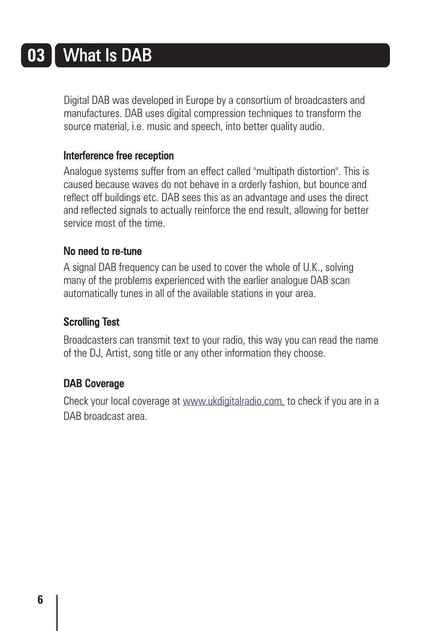# **03** What Is DAB

Digital DAB was developed in Europe by a consortium of broadcasters and manufactures. DAB uses digital compression techniques to transform the source material, i.e. music and speech, into better quality audio.

#### Interference free reception

Analogue systems suffer from an effect called "multipath distortion". This is caused because waves do not behave in a orderly fashion, but bounce and reflect off buildings etc. DAB sees this as an advantage and uses the direct and reflected signals to actually reinforce the end result, allowing for better service most of the time.

#### No need to re-tune

A signal DAB frequency can be used to cover the whole of U.K., solving many of the problems experienced with the earlier analogue DAB scan automatically tunes in all of the available stations in your area.

#### Scrolling Test

Broadcasters can transmit text to your radio, this way you can read the name of the DJ, Artist, song title or any other information they choose.

#### DAB Coverage

Checkyour local coverage at <u>www.ukdigitalradio.com,</u> to check if you are in a DAB broadcast area.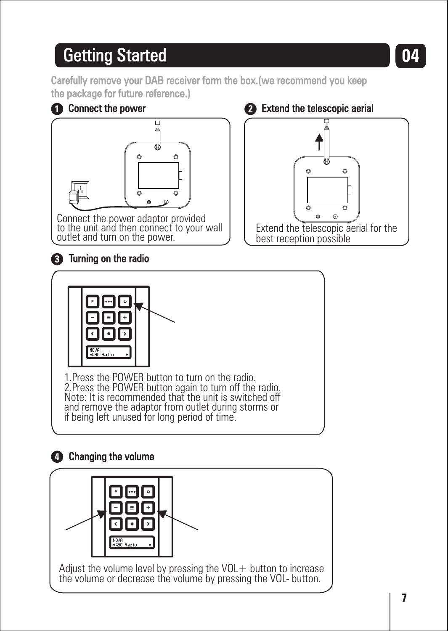## **Getting Started**

Carefully remove your DAB receiver form the box.(we recommend you keep the package for future reference.)



Connect the power adaptor provided to the unit and then connect to your wall outlet and turn on the power.

#### $\bullet$  Extend the telescopic aerial



**04**

#### **3** Turning on the radio



1.Press the POWER button to turn on the radio. 2.Press the POWER button again to turn off the radio. Note: It is recommended that the unit is switched off and remove the adaptor from outlet during storms or if being left unused for long period of time.

#### **4** Changing the volume



Adjust the volume level by pressing the  $VOL+$  button to increase the volume or decrease the volume by pressing the VOL- button.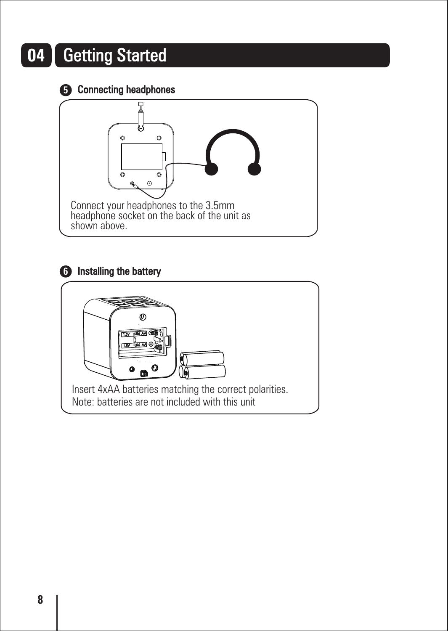# **04** Getting Started

Connecting headphones **5**



#### **6** Installing the battery

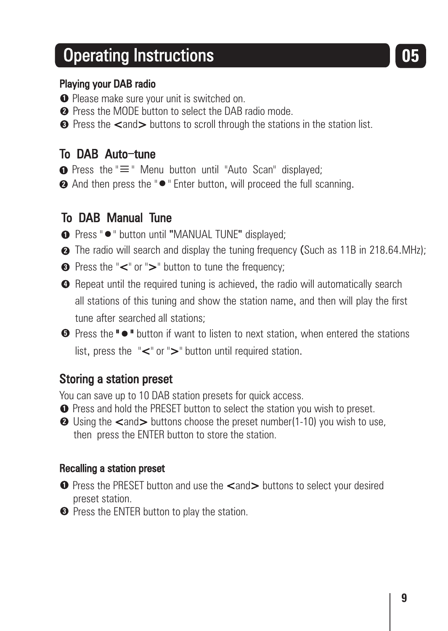### Operating Instructions **05**

#### Playing your DAB radio

- **1** Please make sure your unit is switched on.
- **2** Press the MODE button to select the DAB radio mode.
- **3** Press the <code><and</code> > buttons to scroll through the stations in the station list.

#### To DAB Auto-tune

- $\bullet$  Press the " $\equiv$ " Menu button until "Auto Scan" displayed:
- **2** And then press the "●" Enter button, will proceed the full scanning.

#### To DAB Manual Tune

- **■** Press " " button until "MANUAL TUNE" displayed;
- **2** The radio will search and display the tuning frequency (Such as 11B in 218.64.MHz):
- **3** Press the "<" or ">" button to tune the frequency:
- **•** Repeat until the required tuning is achieved, the radio will automatically search all stations of this tuning and show the station name, and then will play the first tune after searched all stations;
- **D** Press the "  $\bullet$  " button if want to listen to next station, when entered the stations list, press the "<" or ">" button until required station.

#### Storing a station preset

You can save up to 10 DAB station presets for quick access.

- **1** Press and hold the PRESET button to select the station you wish to preset.
- **2** Using the <and> buttons choose the preset number(1-10) you wish to use, then press the ENTER button to store the station.

#### Recalling a station preset

- **D** Press the PRESET button and use the <and> buttons to select your desired preset station.
- **3** Press the ENTER button to play the station.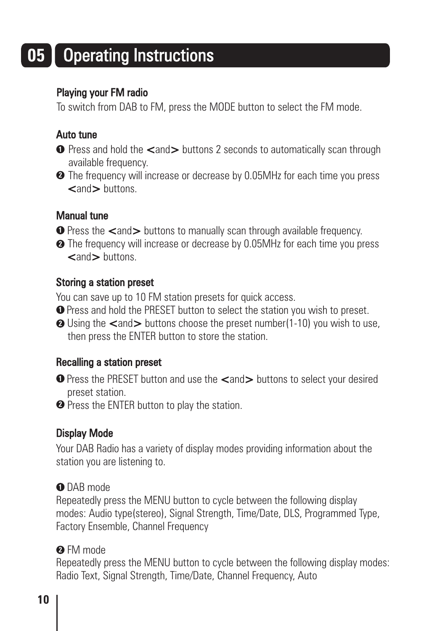# **05** Operating Instructions

#### Playing your FM radio

To switch from DAB to FM, press the MODE button to select the FM mode.

#### Auto tune

- **D** Press and hold the <and> buttons 2 seconds to automatically scan through available frequency.
- The frequency will increase or decrease by 0.05MHz for each time you press **2** <and> buttons

#### Manual tune

- **D** Press the <and> buttons to manually scan through available frequency.
- The frequency will increase or decrease by 0.05MHz for each time you press **2 <and> buttons**

#### Storing a station preset

You can save up to 10 FM station presets for quick access.

- Press and hold the PRESET button to select the station you wish to preset. **1**
- Using the <and> buttons choose the preset number(1-10) you wish to use, **2** then press the ENTER button to store the station.

#### Recalling a station preset

- **D** Press the PRESET button and use the <and> buttons to select your desired preset station.
- Press the ENTER button to play the station. **2**

#### Display Mode

Your DAB Radio has a variety of display modes providing information about the station you are listening to.

#### DAB mode **1**

Repeatedly press the MENU button to cycle between the following display modes: Audio type(stereo), Signal Strength, Time/Date, DLS, Programmed Type, Factory Ensemble, Channel Frequency

#### FM mode **2**

Repeatedly press the MENU button to cycle between the following display modes: Radio Text, Signal Strength, Time/Date, Channel Frequency, Auto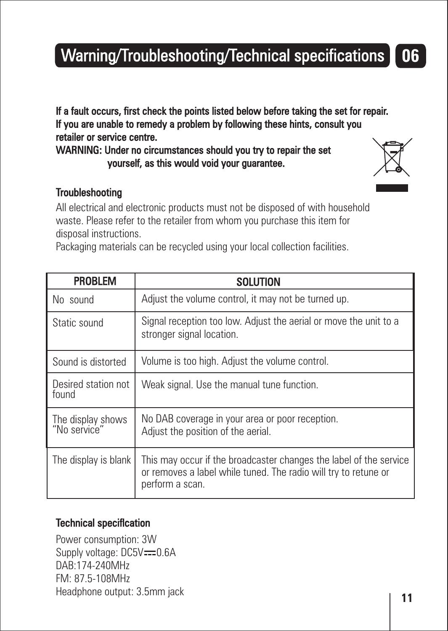## Warning/Troubleshooting/Technical specifications **06**

If a fault occurs, first check the points listed below before taking the set for repair. If you are unable to remedy a problem by following these hints, consult you retailer or service centre.

WARNING: Under no circumstances should you try to repair the set yourself, as this would void your guarantee.

#### Troubleshooting

No sound

All electrical and electronic products must not be disposed of with household waste. Please refer to the retailer from whom you purchase this item for disposal instructions.

Packaging materials can be recycled using your local collection facilities.

PROBLEM SOLUTION

| 1 1 2 2 3 3 4 5 4                 |                                                                                                                                                          |
|-----------------------------------|----------------------------------------------------------------------------------------------------------------------------------------------------------|
| Static sound                      | Signal reception too low. Adjust the aerial or move the unit to a<br>stronger signal location.                                                           |
| Sound is distorted                | Volume is too high. Adjust the volume control.                                                                                                           |
| Desired station not<br>found      | Weak signal. Use the manual tune function.                                                                                                               |
| The display shows<br>"No service" | No DAB coverage in your area or poor reception.<br>Adjust the position of the aerial.                                                                    |
| The display is blank              | This may occur if the broadcaster changes the label of the service<br>or removes a label while tuned. The radio will try to retune or<br>perform a scan. |

Adjust the volume control, it may not be turned up.

#### Technical speciflcation

Power consumption: 3W Supply voltage: DC5V-0.6A DAB:174-240MHz FM: 87.5-108MHz Headphone output: 3.5mm jack



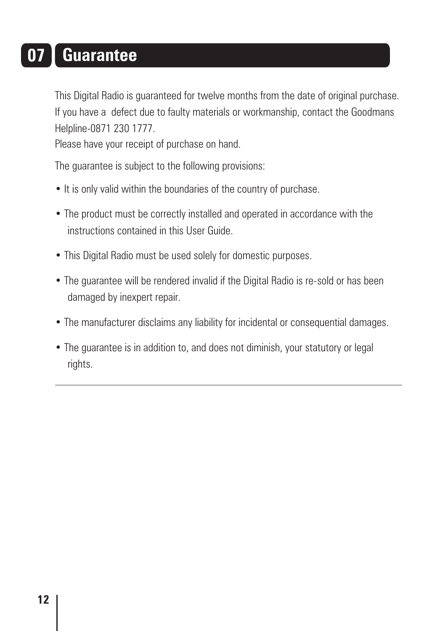### **07 Guarantee**

This Digital Radio is guaranteed for twelve months from the date of original purchase. If you have a defect due to faulty materials or workmanship, contact the Goodmans Helpline-0871 230 1777.

Please have your receipt of purchase on hand.

The guarantee is subject to the following provisions:

- It is only valid within the boundaries of the country of purchase.
- The product must be correctly installed and operated in accordance with the instructions contained in this User Guide.
- This Digital Radio must be used solely for domestic purposes.
- The guarantee will be rendered invalid if the Digital Radio is re-sold or has been damaged by inexpert repair.
- The manufacturer disclaims any liability for incidental or consequential damages.
- The guarantee is in addition to, and does not diminish, your statutory or legal rights.